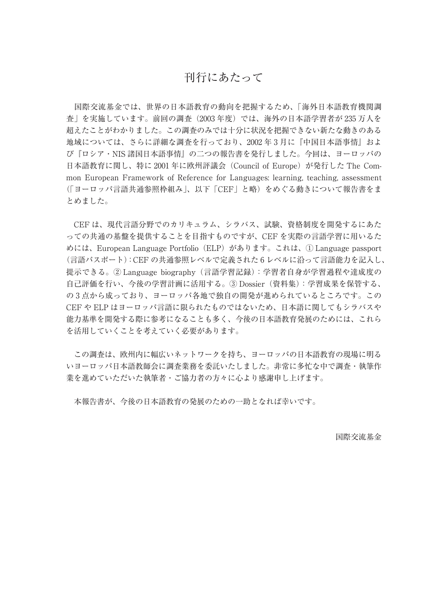# 刊行にあたって

 国際交流基金では、世界の日本語教育の動向を把握するため、「海外日本語教育機関調 査」を実施しています。前回の調査(2003 年度)では、海外の日本語学習者が 235 万人を 超えたことがわかりました。この調査のみでは十分に状況を把握できない新たな動きのある 地域については、さらに詳細な調査を行っており、2002 年 3 月に『中国日本語事情』およ び『ロシア・NIS 諸国日本語事情』の二つの報告書を発行しました。今回は、ヨーロッパの 日本語教育に関し、特に 2001 年に欧州評議会(Council of Europe)が発行した The Common European Framework of Reference for Languages: learning, teaching, assessment (「ヨーロッパ言語共通参照枠組み」、以下「CEF」と略)をめぐる動きについて報告書をま とめました。

 CEF は、現代言語分野でのカリキュラム、シラバス、試験、資格制度を開発するにあた っての共通の基盤を提供することを目指すものですが、CEF を実際の言語学習に用いるた めには、European Language Portfolio(ELP)があります。これは、① Language passport (言語パスポート):CEF の共通参照レベルで定義された 6 レベルに沿って言語能力を記入し、 提示できる。② Language biography(言語学習記録):学習者自身が学習過程や達成度の 自己評価を行い、今後の学習計画に活用する。③ Dossier(資料集):学習成果を保管する、 の 3 点から成っており、ヨーロッパ各地で独自の開発が進められているところです。この CEF や ELP はヨーロッパ言語に限られたものではないため、日本語に関してもシラバスや 能力基準を開発する際に参考になることも多く、今後の日本語教育発展のためには、これら を活用していくことを考えていく必要があります。

 この調査は、欧州内に幅広いネットワークを持ち、ヨーロッパの日本語教育の現場に明る いヨーロッパ日本語教師会に調査業務を委託いたしました。非常に多忙な中で調査・執筆作 業を進めていただいた執筆者・ご協力者の方々に心より感謝申し上げます。

本報告書が、今後の日本語教育の発展のための一助となれば幸いです。

国際交流基金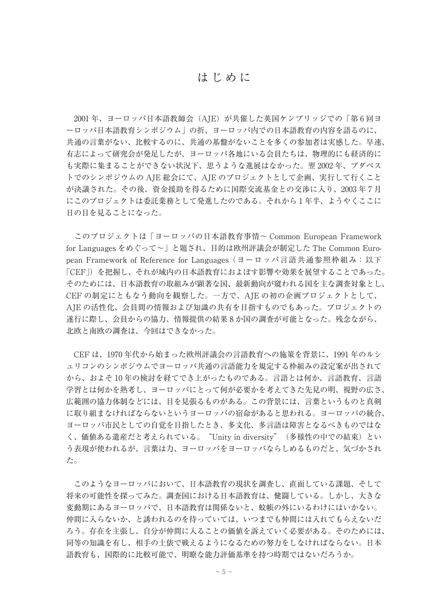## はじめに

2001年、ヨーロッパ日本語教師会(AJE)が共催した英国ケンブリッジでの「第6回ヨ ーロッパ日本語教育シンポジウム」の折、ヨーロッパ内での日本語教育の内容を語るのに、 共通の言葉がない、比較するのに、共通の基盤がないことを多くの参加者は実感した。早速、 有志によって研究会が発足したが、ヨーロッパ各地にいる会員たちは、物理的にも経済的に も実際に集まることができない状況下、思うような進展はなかった。翌 2002 年、ブダペス トでのシンポジウムの AJE 総会にて、AJE のプロジェクトとして企画、実行して行くこと が決議された。その後、資金援助を得るために国際交流基金との交渉に入り、2003 年 7 月 にこのプロジェクトは委託業務として発進したのである。それから 1 年半、ようやくここに 日の目を見ることになった。

 このプロジェクトは「ヨーロッパの日本語教育事情~ Common European Framework for Languages をめぐって~」と題され、目的は欧州評議会が制定した The Common European Framework of Reference for Languages (ヨーロッパ言語共通参照枠組み:以下 「CEF」)を把握し、それが域内の日本語教育におよぼす影響や効果を展望することであった。 そのためには、日本語教育の取組みが顕著な国、最新動向が窺われる国を主な調査対象とし、 CEF の制定にともなう動向を観察した。一方で、AJE の初の企画プロジェクトとして、 AJE の活性化、会員間の情報および知識の共有を目指すものでもあった。プロジェクトの 遂行に際し、会員からの協力、情報提供の結果 8 か国の調査が可能となった。残念ながら、 北欧と南欧の調査は、今回はできなかった。

 CEF は、1970 年代から始まった欧州評議会の言語教育への施策を背景に、1991 年のルシ ュリコンのシンポジウムでヨーロッパ共通の言語能力を規定する枠組みの設定案が出されて から、およそ 10 年の検討を経てでき上がったものである。言語とは何か、言語教育、言語 学習とは何かを熟考し、ヨーロッパにとって何が必要かを考えてきた先見の明、視野の広さ、 広範囲の協力体制などには、目を見張るものがある。この背景には、言葉というものと真剣 に取り組まなければならないというヨーロッパの宿命があると思われる。ヨーロッパの統合、 ヨーロッパ市民としての自覚を目指したとき、多文化、多言語は障害となるべきものではな く、価値ある遺産だと考えられている。"Unity in diversity"(多様性の中での結束)とい う表現が使われるが、言葉は力、ヨーロッパをヨーロッパならしめるものだと、気づかされ た。

 このようなヨーロッパにおいて、日本語教育の現状を調査し、直面している課題、そして 将来の可能性を探ってみた。調査国における日本語教育は、健闘している。しかし、大きな 変動期にあるヨーロッパで、日本語教育は関係ないと、蚊帳の外にいるわけにはいかない。 仲間に入らないか、と誘われるのを待っていては、いつまでも仲間には入れてもらえないだ ろう。存在を主張し、自分が仲間に入ることの価値を訴えていく必要がある。そのためには、 同等の知識を有し、相手の土俵で戦えるようになるための努力をしなければならない。日本 語教育も、国際的に比較可能で、明瞭な能力評価基準を持つ時期ではないだろうか。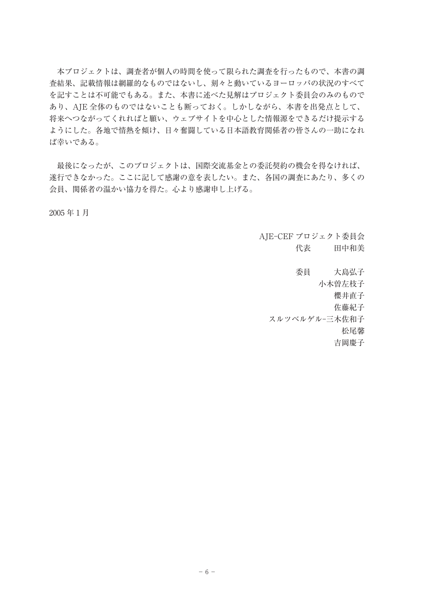本プロジェクトは、調査者が個人の時間を使って限られた調査を行ったもので、本書の調 査結果、記載情報は網羅的なものではないし、刻々と動いているヨーロッパの状況のすべて を記すことは不可能でもある。また、本書に述べた見解はプロジェクト委員会のみのもので あり、AJE 全体のものではないことも断っておく。しかしながら、本書を出発点として、 将来へつながってくれればと願い、ウェブサイトを中心とした情報源をできるだけ提示する ようにした。各地で情熱を傾け、日々奮闘している日本語教育関係者の皆さんの一助になれ ば幸いである。

 最後になったが、このプロジェクトは、国際交流基金との委託契約の機会を得なければ、 遂行できなかった。ここに記して感謝の意を表したい。また、各国の調査にあたり、多くの 会員、関係者の温かい協力を得た。心より感謝申し上げる。

2005 年 1 月

AJE-CEF プロジェクト委員会 代表 田中和美

委員 大島弘子 小木曽左枝子 櫻井直子 佐藤紀子 スルツベルゲル-三木佐和子 松尾馨 吉岡慶子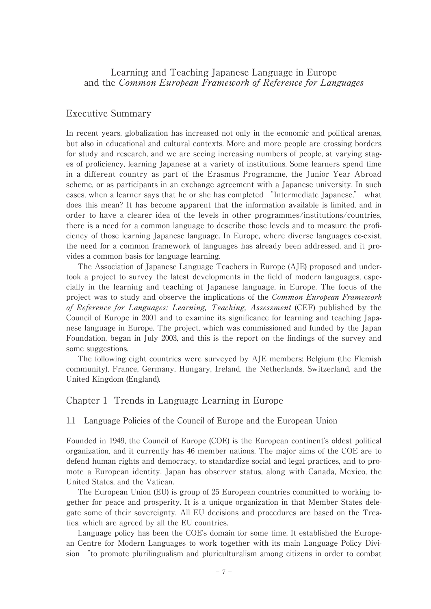### Learning and Teaching Japanese Language in Europe and the Common European Framework of Reference for Languages

### Executive Summary

In recent years, globalization has increased not only in the economic and political arenas, but also in educational and cultural contexts. More and more people are crossing borders for study and research, and we are seeing increasing numbers of people, at varying stages of proficiency, learning Japanese at a variety of institutions. Some learners spend time in a different country as part of the Erasmus Programme, the Junior Year Abroad scheme, or as participants in an exchange agreement with a Japanese university. In such cases, when a learner says that he or she has completed "Intermediate Japanese," what does this mean? It has become apparent that the information available is limited, and in order to have a clearer idea of the levels in other programmes/institutions/countries, there is a need for a common language to describe those levels and to measure the proficiency of those learning Japanese language. In Europe, where diverse languages co-exist, the need for a common framework of languages has already been addressed, and it provides a common basis for language learning.

 The Association of Japanese Language Teachers in Europe (AJE) proposed and undertook a project to survey the latest developments in the field of modern languages, especially in the learning and teaching of Japanese language, in Europe. The focus of the project was to study and observe the implications of the Common European Framework of Reference for Languages: Learning, Teaching, Assessment (CEF) published by the Council of Europe in 2001 and to examine its significance for learning and teaching Japanese language in Europe. The project, which was commissioned and funded by the Japan Foundation, began in July 2003, and this is the report on the findings of the survey and some suggestions.

 The following eight countries were surveyed by AJE members: Belgium (the Flemish community), France, Germany, Hungary, Ireland, the Netherlands, Switzerland, and the United Kingdom (England).

### Chapter 1 Trends in Language Learning in Europe

1.1 Language Policies of the Council of Europe and the European Union

Founded in 1949, the Council of Europe (COE) is the European continent's oldest political organization, and it currently has 46 member nations. The major aims of the COE are to defend human rights and democracy, to standardize social and legal practices, and to promote a European identity. Japan has observer status, along with Canada, Mexico, the United States, and the Vatican.

 The European Union (EU) is group of 25 European countries committed to working together for peace and prosperity. It is a unique organization in that Member States delegate some of their sovereignty. All EU decisions and procedures are based on the Treaties, which are agreed by all the EU countries.

 Language policy has been the COE's domain for some time. It established the European Centre for Modern Languages to work together with its main Language Policy Division "to promote plurilingualism and pluriculturalism among citizens in order to combat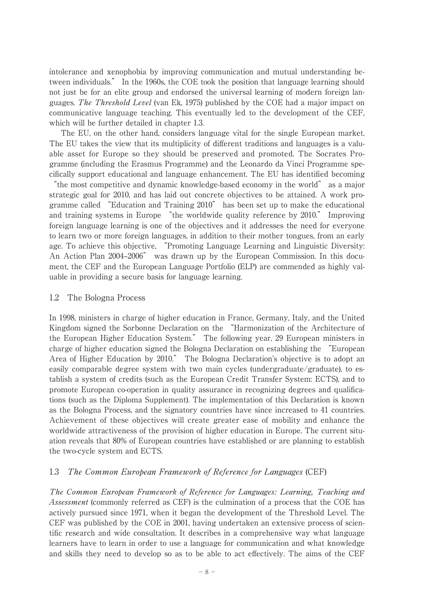intolerance and xenophobia by improving communication and mutual understanding between individuals." In the 1960s, the COE took the position that language learning should not just be for an elite group and endorsed the universal learning of modern foreign languages. The Threshold Level (van Ek, 1975) published by the COE had a major impact on communicative language teaching. This eventually led to the development of the CEF, which will be further detailed in chapter 1.3.

 The EU, on the other hand, considers language vital for the single European market. The EU takes the view that its multiplicity of different traditions and languages is a valuable asset for Europe so they should be preserved and promoted. The Socrates Programme (including the Erasmus Programme) and the Leonardo da Vinci Programme specifically support educational and language enhancement. The EU has identified becoming

"the most competitive and dynamic knowledge-based economy in the world" as a major strategic goal for 2010, and has laid out concrete objectives to be attained. A work programme called "Education and Training 2010" has been set up to make the educational and training systems in Europe "the worldwide quality reference by 2010." Improving foreign language learning is one of the objectives and it addresses the need for everyone to learn two or more foreign languages, in addition to their mother tongues, from an early age. To achieve this objective, "Promoting Language Learning and Linguistic Diversity: An Action Plan 2004–2006" was drawn up by the European Commission. In this document, the CEF and the European Language Portfolio (ELP) are commended as highly valuable in providing a secure basis for language learning.

#### 1.2 The Bologna Process

In 1998, ministers in charge of higher education in France, Germany, Italy, and the United Kingdom signed the Sorbonne Declaration on the "Harmonization of the Architecture of the European Higher Education System." The following year, 29 European ministers in charge of higher education signed the Bologna Declaration on establishing the "European Area of Higher Education by 2010." The Bologna Declaration's objective is to adopt an easily comparable degree system with two main cycles (undergraduate/graduate), to establish a system of credits (such as the European Credit Transfer System: ECTS), and to promote European co-operation in quality assurance in recognizing degrees and qualifications (such as the Diploma Supplement). The implementation of this Declaration is known as the Bologna Process, and the signatory countries have since increased to 41 countries. Achievement of these objectives will create greater ease of mobility and enhance the worldwide attractiveness of the provision of higher education in Europe. The current situation reveals that 80% of European countries have established or are planning to establish the two-cycle system and ECTS.

#### 1.3 The Common European Framework of Reference for Languages (CEF)

The Common European Framework of Reference for Languages: Learning, Teaching and Assessment (commonly referred as CEF) is the culmination of a process that the COE has actively pursued since 1971, when it began the development of the Threshold Level. The CEF was published by the COE in 2001, having undertaken an extensive process of scientific research and wide consultation. It describes in a comprehensive way what language learners have to learn in order to use a language for communication and what knowledge and skills they need to develop so as to be able to act effectively. The aims of the CEF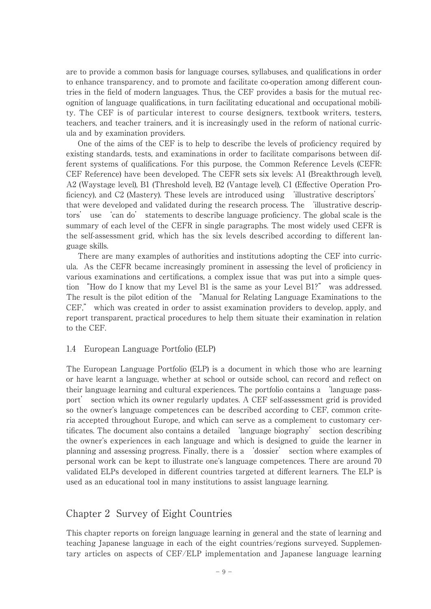are to provide a common basis for language courses, syllabuses, and qualifications in order to enhance transparency, and to promote and facilitate co-operation among different countries in the field of modern languages. Thus, the CEF provides a basis for the mutual recognition of language qualifications, in turn facilitating educational and occupational mobility. The CEF is of particular interest to course designers, textbook writers, testers, teachers, and teacher trainers, and it is increasingly used in the reform of national curricula and by examination providers.

 One of the aims of the CEF is to help to describe the levels of proficiency required by existing standards, tests, and examinations in order to facilitate comparisons between different systems of qualifications. For this purpose, the Common Reference Levels (CEFR: CEF Reference) have been developed. The CEFR sets six levels: A1 (Breakthrough level), A2 (Waystage level), B1 (Threshold level), B2 (Vantage level), C1 (Effective Operation Proficiency), and C2 (Mastery). These levels are introduced using 'illustrative descriptors' that were developed and validated during the research process. The 'illustrative descriptors' use 'can do' statements to describe language proficiency. The global scale is the summary of each level of the CEFR in single paragraphs. The most widely used CEFR is the self-assessment grid, which has the six levels described according to different language skills.

 There are many examples of authorities and institutions adopting the CEF into curricula. As the CEFR became increasingly prominent in assessing the level of proficiency in various examinations and certifications, a complex issue that was put into a simple question "How do I know that my Level B1 is the same as your Level B1?" was addressed. The result is the pilot edition of the "Manual for Relating Language Examinations to the CEF," which was created in order to assist examination providers to develop, apply, and report transparent, practical procedures to help them situate their examination in relation to the CEF.

#### 1.4 European Language Portfolio (ELP)

The European Language Portfolio (ELP) is a document in which those who are learning or have learnt a language, whether at school or outside school, can record and reflect on their language learning and cultural experiences. The portfolio contains a 'language passport' section which its owner regularly updates. A CEF self-assessment grid is provided so the owner's language competences can be described according to CEF, common criteria accepted throughout Europe, and which can serve as a complement to customary certificates. The document also contains a detailed 'language biography' section describing the owner's experiences in each language and which is designed to guide the learner in planning and assessing progress. Finally, there is a 'dossier' section where examples of personal work can be kept to illustrate one's language competences. There are around 70 validated ELPs developed in different countries targeted at different learners. The ELP is used as an educational tool in many institutions to assist language learning.

# Chapter 2 Survey of Eight Countries

This chapter reports on foreign language learning in general and the state of learning and teaching Japanese language in each of the eight countries/regions surveyed. Supplementary articles on aspects of CEF/ELP implementation and Japanese language learning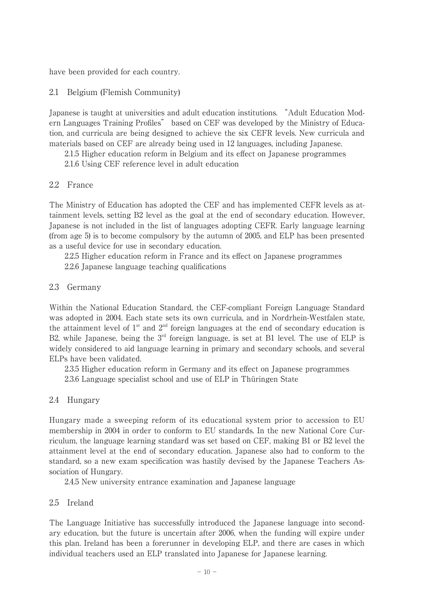have been provided for each country.

#### 2.1 Belgium (Flemish Community)

Japanese is taught at universities and adult education institutions. "Adult Education Modern Languages Training Profiles" based on CEF was developed by the Ministry of Education, and curricula are being designed to achieve the six CEFR levels. New curricula and materials based on CEF are already being used in 12 languages, including Japanese.

2.1.5 Higher education reform in Belgium and its effect on Japanese programmes

2.1.6 Using CEF reference level in adult education

#### 2.2 France

The Ministry of Education has adopted the CEF and has implemented CEFR levels as attainment levels, setting B2 level as the goal at the end of secondary education. However, Japanese is not included in the list of languages adopting CEFR. Early language learning (from age 5) is to become compulsory by the autumn of 2005, and ELP has been presented as a useful device for use in secondary education.

2.2.5 Higher education reform in France and its effect on Japanese programmes

2.2.6 Japanese language teaching qualifications

### 2.3 Germany

Within the National Education Standard, the CEF-compliant Foreign Language Standard was adopted in 2004. Each state sets its own curricula, and in Nordrhein-Westfalen state, the attainment level of  $1<sup>st</sup>$  and  $2<sup>nd</sup>$  foreign languages at the end of secondary education is B2, while Japanese, being the  $3<sup>rd</sup>$  foreign language, is set at B1 level. The use of ELP is widely considered to aid language learning in primary and secondary schools, and several ELPs have been validated.

 2.3.5 Higher education reform in Germany and its effect on Japanese programmes 2.3.6 Language specialist school and use of ELP in Thüringen State

### 2.4 Hungary

Hungary made a sweeping reform of its educational system prior to accession to EU membership in 2004 in order to conform to EU standards. In the new National Core Curriculum, the language learning standard was set based on CEF, making B1 or B2 level the attainment level at the end of secondary education. Japanese also had to conform to the standard, so a new exam specification was hastily devised by the Japanese Teachers Association of Hungary.

2.4.5 New university entrance examination and Japanese language

### 2.5 Ireland

The Language Initiative has successfully introduced the Japanese language into secondary education, but the future is uncertain after 2006, when the funding will expire under this plan. Ireland has been a forerunner in developing ELP, and there are cases in which individual teachers used an ELP translated into Japanese for Japanese learning.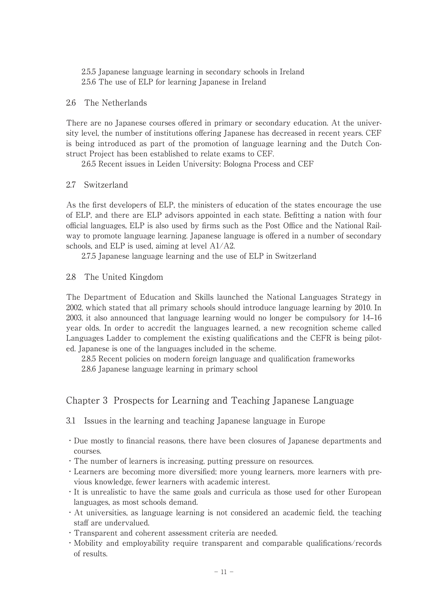2.5.5 Japanese language learning in secondary schools in Ireland 2.5.6 The use of ELP for learning Japanese in Ireland

#### 2.6 The Netherlands

There are no Japanese courses offered in primary or secondary education. At the university level, the number of institutions offering Japanese has decreased in recent years. CEF is being introduced as part of the promotion of language learning and the Dutch Construct Project has been established to relate exams to CEF.

2.6.5 Recent issues in Leiden University: Bologna Process and CEF

### 2.7 Switzerland

As the first developers of ELP, the ministers of education of the states encourage the use of ELP, and there are ELP advisors appointed in each state. Befitting a nation with four official languages, ELP is also used by firms such as the Post Office and the National Railway to promote language learning. Japanese language is offered in a number of secondary schools, and ELP is used, aiming at level A1/A2.

2.7.5 Japanese language learning and the use of ELP in Switzerland

2.8 The United Kingdom

The Department of Education and Skills launched the National Languages Strategy in 2002, which stated that all primary schools should introduce language learning by 2010. In 2003, it also announced that language learning would no longer be compulsory for 14–16 year olds. In order to accredit the languages learned, a new recognition scheme called Languages Ladder to complement the existing qualifications and the CEFR is being piloted. Japanese is one of the languages included in the scheme.

 2.8.5 Recent policies on modern foreign language and qualification frameworks 2.8.6 Japanese language learning in primary school

# Chapter 3 Prospects for Learning and Teaching Japanese Language

3.1 Issues in the learning and teaching Japanese language in Europe

- ・Due mostly to financial reasons, there have been closures of Japanese departments and courses.
- ・The number of learners is increasing, putting pressure on resources.
- ・Learners are becoming more diversified; more young learners, more learners with previous knowledge, fewer learners with academic interest.
- ・It is unrealistic to have the same goals and curricula as those used for other European languages, as most schools demand.
- ・At universities, as language learning is not considered an academic field, the teaching staff are undervalued.
- ・Transparent and coherent assessment criteria are needed.
- ・Mobility and employability require transparent and comparable qualifications/records of results.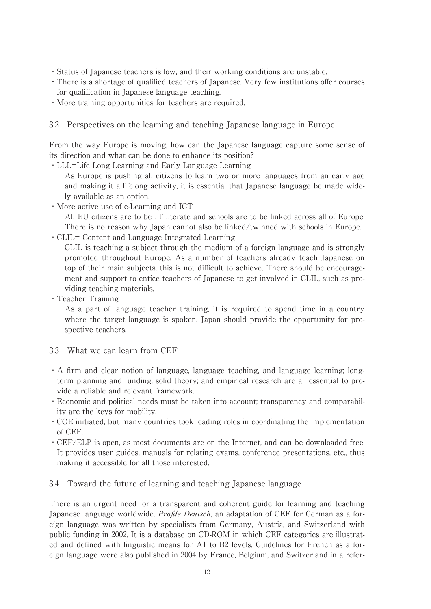- ・Status of Japanese teachers is low, and their working conditions are unstable.
- ・There is a shortage of qualified teachers of Japanese. Very few institutions offer courses for qualification in Japanese language teaching.
- ・More training opportunities for teachers are required.
- 3.2 Perspectives on the learning and teaching Japanese language in Europe

From the way Europe is moving, how can the Japanese language capture some sense of its direction and what can be done to enhance its position?

・LLL=Life Long Learning and Early Language Learning

As Europe is pushing all citizens to learn two or more languages from an early age and making it a lifelong activity, it is essential that Japanese language be made widely available as an option.

・More active use of e-Learning and ICT

All EU citizens are to be IT literate and schools are to be linked across all of Europe. There is no reason why Japan cannot also be linked/twinned with schools in Europe.

・CLIL= Content and Language Integrated Learning

CLIL is teaching a subject through the medium of a foreign language and is strongly promoted throughout Europe. As a number of teachers already teach Japanese on top of their main subjects, this is not difficult to achieve. There should be encouragement and support to entice teachers of Japanese to get involved in CLIL, such as providing teaching materials.

・Teacher Training

As a part of language teacher training, it is required to spend time in a country where the target language is spoken. Japan should provide the opportunity for prospective teachers.

- 3.3 What we can learn from CEF
- ・A firm and clear notion of language, language teaching, and language learning; longterm planning and funding; solid theory; and empirical research are all essential to provide a reliable and relevant framework.
- ・Economic and political needs must be taken into account; transparency and comparability are the keys for mobility.
- ・COE initiated, but many countries took leading roles in coordinating the implementation of CEF.
- ・CEF/ELP is open, as most documents are on the Internet, and can be downloaded free. It provides user guides, manuals for relating exams, conference presentations, etc., thus making it accessible for all those interested.
- 3.4 Toward the future of learning and teaching Japanese language

There is an urgent need for a transparent and coherent guide for learning and teaching Japanese language worldwide. *Profile Deutsch*, an adaptation of CEF for German as a foreign language was written by specialists from Germany, Austria, and Switzerland with public funding in 2002. It is a database on CD-ROM in which CEF categories are illustrated and defined with linguistic means for A1 to B2 levels. Guidelines for French as a foreign language were also published in 2004 by France, Belgium, and Switzerland in a refer